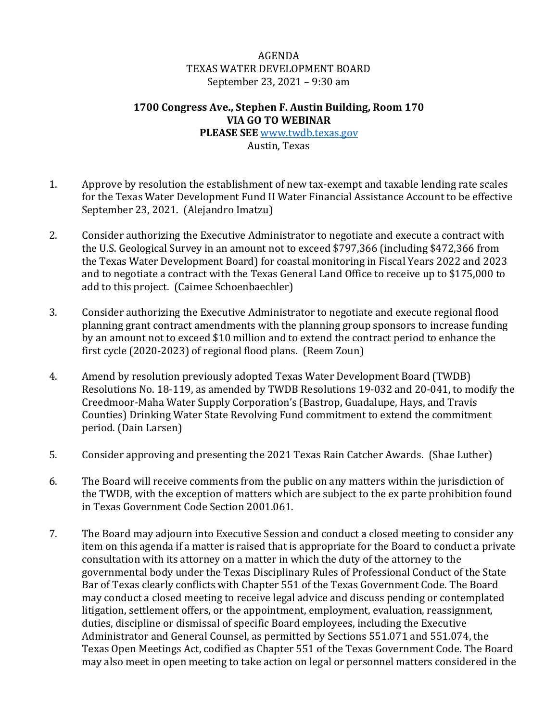## AGENDA TEXAS WATER DEVELOPMENT BOARD September 23, 2021 – 9:30 am

## **1700 Congress Ave., Stephen F. Austin Building, Room 170 VIA GO TO WEBINAR**

**PLEASE SEE** [www.twdb.texas.gov](http://www.twdb.texas.gov/) Austin, Texas

- 1. Approve by resolution the establishment of new tax-exempt and taxable lending rate scales for the Texas Water Development Fund II Water Financial Assistance Account to be effective September 23, 2021. (Alejandro Imatzu)
- 2. Consider authorizing the Executive Administrator to negotiate and execute a contract with the U.S. Geological Survey in an amount not to exceed \$797,366 (including \$472,366 from the Texas Water Development Board) for coastal monitoring in Fiscal Years 2022 and 2023 and to negotiate a contract with the Texas General Land Office to receive up to \$175,000 to add to this project. (Caimee Schoenbaechler)
- 3. Consider authorizing the Executive Administrator to negotiate and execute regional flood planning grant contract amendments with the planning group sponsors to increase funding by an amount not to exceed \$10 million and to extend the contract period to enhance the first cycle (2020-2023) of regional flood plans. (Reem Zoun)
- 4. Amend by resolution previously adopted Texas Water Development Board (TWDB) Resolutions No. 18-119, as amended by TWDB Resolutions 19-032 and 20-041, to modify the Creedmoor-Maha Water Supply Corporation's (Bastrop, Guadalupe, Hays, and Travis Counties) Drinking Water State Revolving Fund commitment to extend the commitment period. (Dain Larsen)
- 5. Consider approving and presenting the 2021 Texas Rain Catcher Awards. (Shae Luther)
- 6. The Board will receive comments from the public on any matters within the jurisdiction of the TWDB, with the exception of matters which are subject to the ex parte prohibition found in Texas Government Code Section 2001.061.
- 7. The Board may adjourn into Executive Session and conduct a closed meeting to consider any item on this agenda if a matter is raised that is appropriate for the Board to conduct a private consultation with its attorney on a matter in which the duty of the attorney to the governmental body under the Texas Disciplinary Rules of Professional Conduct of the State Bar of Texas clearly conflicts with Chapter 551 of the Texas Government Code. The Board may conduct a closed meeting to receive legal advice and discuss pending or contemplated litigation, settlement offers, or the appointment, employment, evaluation, reassignment, duties, discipline or dismissal of specific Board employees, including the Executive Administrator and General Counsel, as permitted by Sections 551.071 and 551.074, the Texas Open Meetings Act, codified as Chapter 551 of the Texas Government Code. The Board may also meet in open meeting to take action on legal or personnel matters considered in the